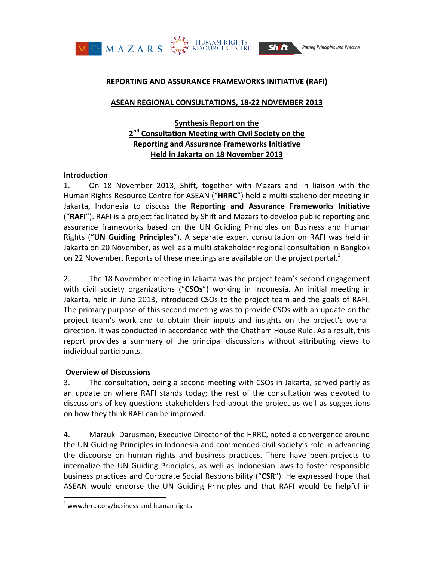

#### **REPORTING AND ASSURANCE FRAMEWORKS INITIATIVE (RAFI)**

#### **ASEAN REGIONAL CONSULTATIONS, 18-22 NOVEMBER 2013**

#### **Synthesis Report on the** 2<sup>nd</sup> Consultation Meeting with Civil Society on the **Reporting and Assurance Frameworks Initiative Held in Jakarta on 18 November 2013**

#### **Introduction**

1. On 18 November 2013, Shift, together with Mazars and in liaison with the Human Rights Resource Centre for ASEAN ("HRRC") held a multi-stakeholder meeting in Jakarta, Indonesia to discuss the Reporting and Assurance Frameworks Initiative ("RAFI"). RAFI is a project facilitated by Shift and Mazars to develop public reporting and assurance frameworks based on the UN Guiding Principles on Business and Human Rights ("UN Guiding Principles"). A separate expert consultation on RAFI was held in Jakarta on 20 November, as well as a multi-stakeholder regional consultation in Bangkok on 22 November. Reports of these meetings are available on the project portal.<sup>1</sup>

2. The 18 November meeting in Jakarta was the project team's second engagement with civil society organizations ("CSOs") working in Indonesia. An initial meeting in Jakarta, held in June 2013, introduced CSOs to the project team and the goals of RAFI. The primary purpose of this second meeting was to provide CSOs with an update on the project team's work and to obtain their inputs and insights on the project's overall direction. It was conducted in accordance with the Chatham House Rule. As a result, this report provides a summary of the principal discussions without attributing views to individual participants.

#### **Overview of Discussions**

3. The consultation, being a second meeting with CSOs in Jakarta, served partly as an update on where RAFI stands today; the rest of the consultation was devoted to discussions of key questions stakeholders had about the project as well as suggestions on how they think RAFI can be improved.

4. Marzuki Darusman, Executive Director of the HRRC, noted a convergence around the UN Guiding Principles in Indonesia and commended civil society's role in advancing the discourse on human rights and business practices. There have been projects to internalize the UN Guiding Principles, as well as Indonesian laws to foster responsible business practices and Corporate Social Responsibility ("CSR"). He expressed hope that ASEAN would endorse the UN Guiding Principles and that RAFI would be helpful in

 $1$  www.hrrca.org/business-and-human-rights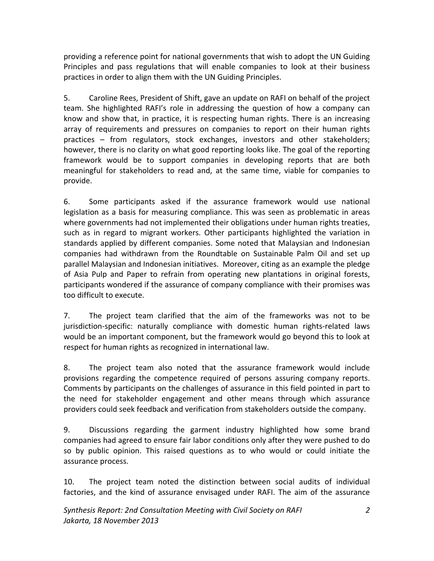providing a reference point for national governments that wish to adopt the UN Guiding Principles and pass regulations that will enable companies to look at their business practices in order to align them with the UN Guiding Principles.

5. Caroline Rees, President of Shift, gave an update on RAFI on behalf of the project team. She highlighted RAFI's role in addressing the question of how a company can know and show that, in practice, it is respecting human rights. There is an increasing array of requirements and pressures on companies to report on their human rights practices  $-$  from regulators, stock exchanges, investors and other stakeholders; however, there is no clarity on what good reporting looks like. The goal of the reporting framework would be to support companies in developing reports that are both meaningful for stakeholders to read and, at the same time, viable for companies to provide.

6. Some participants asked if the assurance framework would use national legislation as a basis for measuring compliance. This was seen as problematic in areas where governments had not implemented their obligations under human rights treaties, such as in regard to migrant workers. Other participants highlighted the variation in standards applied by different companies. Some noted that Malaysian and Indonesian companies had withdrawn from the Roundtable on Sustainable Palm Oil and set up parallel Malaysian and Indonesian initiatives. Moreover, citing as an example the pledge of Asia Pulp and Paper to refrain from operating new plantations in original forests, participants wondered if the assurance of company compliance with their promises was too difficult to execute.

7. The project team clarified that the aim of the frameworks was not to be jurisdiction-specific: naturally compliance with domestic human rights-related laws would be an important component, but the framework would go beyond this to look at respect for human rights as recognized in international law.

8. The project team also noted that the assurance framework would include provisions regarding the competence required of persons assuring company reports. Comments by participants on the challenges of assurance in this field pointed in part to the need for stakeholder engagement and other means through which assurance providers could seek feedback and verification from stakeholders outside the company.

9. Discussions regarding the garment industry highlighted how some brand companies had agreed to ensure fair labor conditions only after they were pushed to do so by public opinion. This raised questions as to who would or could initiate the assurance process.

10. The project team noted the distinction between social audits of individual factories, and the kind of assurance envisaged under RAFI. The aim of the assurance

Synthesis Report: 2nd Consultation Meeting with Civil Society on RAFI Jakarta, 18 November 2013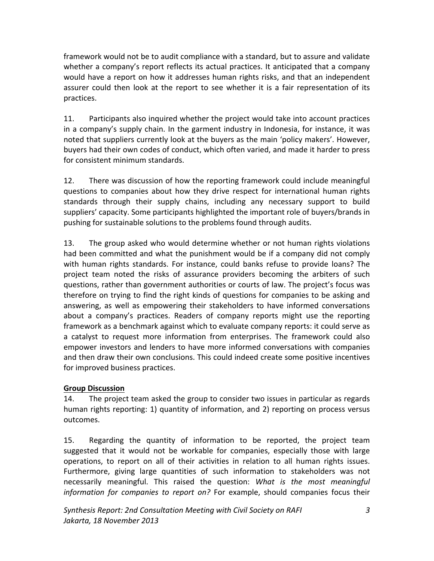framework would not be to audit compliance with a standard, but to assure and validate whether a company's report reflects its actual practices. It anticipated that a company would have a report on how it addresses human rights risks, and that an independent assurer could then look at the report to see whether it is a fair representation of its practices. 

11. Participants also inquired whether the project would take into account practices in a company's supply chain. In the garment industry in Indonesia, for instance, it was noted that suppliers currently look at the buyers as the main 'policy makers'. However, buyers had their own codes of conduct, which often varied, and made it harder to press for consistent minimum standards.

12. There was discussion of how the reporting framework could include meaningful questions to companies about how they drive respect for international human rights standards through their supply chains, including any necessary support to build suppliers' capacity. Some participants highlighted the important role of buyers/brands in pushing for sustainable solutions to the problems found through audits.

13. The group asked who would determine whether or not human rights violations had been committed and what the punishment would be if a company did not comply with human rights standards. For instance, could banks refuse to provide loans? The project team noted the risks of assurance providers becoming the arbiters of such questions, rather than government authorities or courts of law. The project's focus was therefore on trying to find the right kinds of questions for companies to be asking and answering, as well as empowering their stakeholders to have informed conversations about a company's practices. Readers of company reports might use the reporting framework as a benchmark against which to evaluate company reports: it could serve as a catalyst to request more information from enterprises. The framework could also empower investors and lenders to have more informed conversations with companies and then draw their own conclusions. This could indeed create some positive incentives for improved business practices.

# **Group Discussion**

14. The project team asked the group to consider two issues in particular as regards human rights reporting: 1) quantity of information, and 2) reporting on process versus outcomes. 

15. Regarding the quantity of information to be reported, the project team suggested that it would not be workable for companies, especially those with large operations, to report on all of their activities in relation to all human rights issues. Furthermore, giving large quantities of such information to stakeholders was not necessarily meaningful. This raised the question: *What is the most meaningful information for companies to report on?* For example, should companies focus their

Synthesis Report: 2nd Consultation Meeting with Civil Society on RAFI Jakarta, 18 November 2013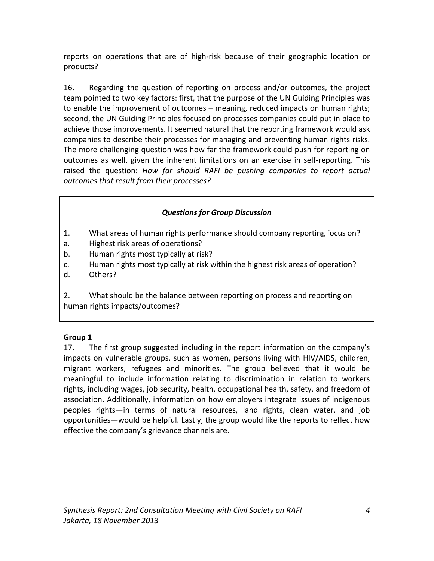reports on operations that are of high-risk because of their geographic location or products?

16. Regarding the question of reporting on process and/or outcomes, the project team pointed to two key factors: first, that the purpose of the UN Guiding Principles was to enable the improvement of outcomes – meaning, reduced impacts on human rights; second, the UN Guiding Principles focused on processes companies could put in place to achieve those improvements. It seemed natural that the reporting framework would ask companies to describe their processes for managing and preventing human rights risks. The more challenging question was how far the framework could push for reporting on outcomes as well, given the inherent limitations on an exercise in self-reporting. This raised the question: *How far should RAFI be pushing companies to report actual outcomes that result from their processes?*

# *Questions for Group Discussion*

- 1. What areas of human rights performance should company reporting focus on?
- a. Highest risk areas of operations?
- b. Human rights most typically at risk?
- c. Human rights most typically at risk within the highest risk areas of operation?
- d. Others?

2. What should be the balance between reporting on process and reporting on human rights impacts/outcomes?

# Group 1

17. The first group suggested including in the report information on the company's impacts on vulnerable groups, such as women, persons living with HIV/AIDS, children, migrant workers, refugees and minorities. The group believed that it would be meaningful to include information relating to discrimination in relation to workers rights, including wages, job security, health, occupational health, safety, and freedom of association. Additionally, information on how employers integrate issues of indigenous peoples rights—in terms of natural resources, land rights, clean water, and job opportunities—would be helpful. Lastly, the group would like the reports to reflect how effective the company's grievance channels are.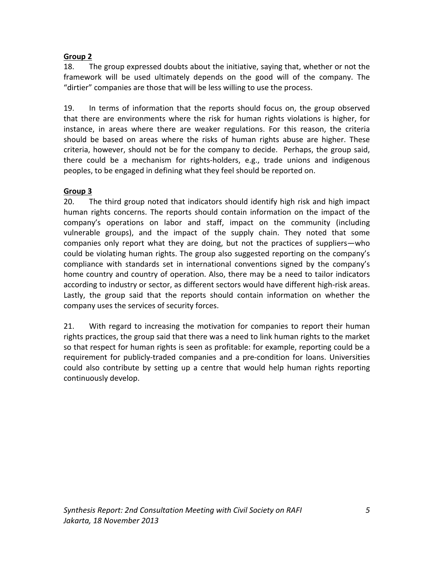# **Group 2**

18. The group expressed doubts about the initiative, saying that, whether or not the framework will be used ultimately depends on the good will of the company. The "dirtier" companies are those that will be less willing to use the process.

19. In terms of information that the reports should focus on, the group observed that there are environments where the risk for human rights violations is higher, for instance, in areas where there are weaker regulations. For this reason, the criteria should be based on areas where the risks of human rights abuse are higher. These criteria, however, should not be for the company to decide. Perhaps, the group said, there could be a mechanism for rights-holders, e.g., trade unions and indigenous peoples, to be engaged in defining what they feel should be reported on.

### **Group 3**

20. The third group noted that indicators should identify high risk and high impact human rights concerns. The reports should contain information on the impact of the company's operations on labor and staff, impact on the community (including vulnerable groups), and the impact of the supply chain. They noted that some companies only report what they are doing, but not the practices of suppliers—who could be violating human rights. The group also suggested reporting on the company's compliance with standards set in international conventions signed by the company's home country and country of operation. Also, there may be a need to tailor indicators according to industry or sector, as different sectors would have different high-risk areas. Lastly, the group said that the reports should contain information on whether the company uses the services of security forces.

21. With regard to increasing the motivation for companies to report their human rights practices, the group said that there was a need to link human rights to the market so that respect for human rights is seen as profitable: for example, reporting could be a requirement for publicly-traded companies and a pre-condition for loans. Universities could also contribute by setting up a centre that would help human rights reporting continuously develop.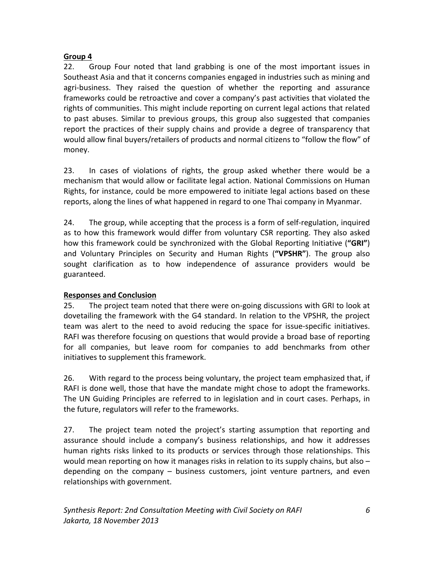### **Group 4**

22. Group Four noted that land grabbing is one of the most important issues in Southeast Asia and that it concerns companies engaged in industries such as mining and agri-business. They raised the question of whether the reporting and assurance frameworks could be retroactive and cover a company's past activities that violated the rights of communities. This might include reporting on current legal actions that related to past abuses. Similar to previous groups, this group also suggested that companies report the practices of their supply chains and provide a degree of transparency that would allow final buyers/retailers of products and normal citizens to "follow the flow" of money. 

23. In cases of violations of rights, the group asked whether there would be a mechanism that would allow or facilitate legal action. National Commissions on Human Rights, for instance, could be more empowered to initiate legal actions based on these reports, along the lines of what happened in regard to one Thai company in Myanmar.

24. The group, while accepting that the process is a form of self-regulation, inquired as to how this framework would differ from voluntary CSR reporting. They also asked how this framework could be synchronized with the Global Reporting Initiative ("GRI") and Voluntary Principles on Security and Human Rights ("VPSHR"). The group also sought clarification as to how independence of assurance providers would be guaranteed. 

# **Responses and Conclusion**

25. The project team noted that there were on-going discussions with GRI to look at dovetailing the framework with the G4 standard. In relation to the VPSHR, the project team was alert to the need to avoid reducing the space for issue-specific initiatives. RAFI was therefore focusing on questions that would provide a broad base of reporting for all companies, but leave room for companies to add benchmarks from other initiatives to supplement this framework.

26. With regard to the process being voluntary, the project team emphasized that, if RAFI is done well, those that have the mandate might chose to adopt the frameworks. The UN Guiding Principles are referred to in legislation and in court cases. Perhaps, in the future, regulators will refer to the frameworks.

27. The project team noted the project's starting assumption that reporting and assurance should include a company's business relationships, and how it addresses human rights risks linked to its products or services through those relationships. This would mean reporting on how it manages risks in relation to its supply chains, but also  $$ depending on the company  $-$  business customers, joint venture partners, and even relationships with government.

Synthesis Report: 2nd Consultation Meeting with Civil Society on RAFI Jakarta, 18 November 2013